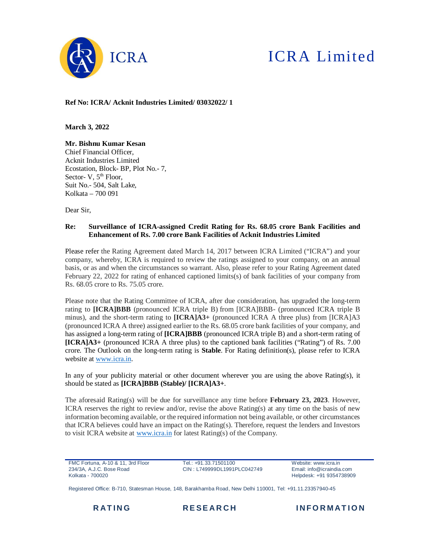

# ICRA Limited

**Ref No: ICRA/ Acknit Industries Limited/ 03032022/ 1**

**March 3, 2022**

## **Mr. Bishnu Kumar Kesan**

Chief Financial Officer, Acknit Industries Limited Ecostation, Block- BP, Plot No.- 7, Sector- V,  $5<sup>th</sup>$  Floor, Suit No.- 504, Salt Lake, Kolkata – 700 091

Dear Sir,

#### **Re: Surveillance of ICRA-assigned Credit Rating for Rs. 68.05 crore Bank Facilities and Enhancement of Rs. 7.00 crore Bank Facilities of Acknit Industries Limited**

Please refer the Rating Agreement dated March 14, 2017 between ICRA Limited ("ICRA") and your company, whereby, ICRA is required to review the ratings assigned to your company, on an annual basis, or as and when the circumstances so warrant. Also, please refer to your Rating Agreement dated February 22, 2022 for rating of enhanced captioned limits(s) of bank facilities of your company from Rs. 68.05 crore to Rs. 75.05 crore.

Please note that the Rating Committee of ICRA, after due consideration, has upgraded the long-term rating to **[ICRA]BBB** (pronounced ICRA triple B) from [ICRA]BBB- (pronounced ICRA triple B minus), and the short-term rating to **[ICRA]A3+** (pronounced ICRA A three plus) from [ICRA]A3 (pronounced ICRA A three) assigned earlier to the Rs. 68.05 crore bank facilities of your company, and has assigned a long-term rating of **[ICRA]BBB** (pronounced ICRA triple B) and a short-term rating of **[ICRA]A3+** (pronounced ICRA A three plus) to the captioned bank facilities ("Rating") of Rs. 7.00 crore. The Outlook on the long-term rating is **Stable**. For Rating definition(s), please refer to ICRA website at www.icra.in.

In any of your publicity material or other document wherever you are using the above Rating(s), it should be stated as **[ICRA]BBB (Stable)/ [ICRA]A3+**.

The aforesaid Rating(s) will be due for surveillance any time before **February 23, 2023**. However, ICRA reserves the right to review and/or, revise the above Rating(s) at any time on the basis of new information becoming available, or the required information not being available, or other circumstances that ICRA believes could have an impact on the Rating(s). Therefore, request the lenders and Investors to visit ICRA website at www.icra.in for latest Rating(s) of the Company.

FMC Fortuna, A-10 & 11, 3rd Floor 234/3A, A.J.C. Bose Road Kolkata - 700020

Tel.: +91.33.71501100 CIN : L749999DL1991PLC042749

Website: www.icra.in Email: info@icraindia.com Helpdesk: +91 9354738909

Registered Office: B-710, Statesman House, 148, Barakhamba Road, New Delhi 110001, Tel: +91.11.23357940-45



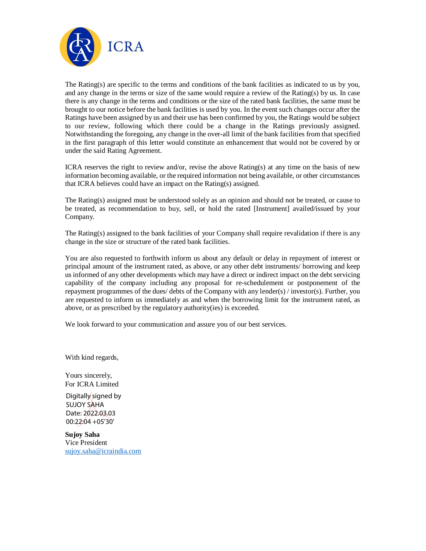

The Rating(s) are specific to the terms and conditions of the bank facilities as indicated to us by you, and any change in the terms or size of the same would require a review of the Rating(s) by us. In case there is any change in the terms and conditions or the size of the rated bank facilities, the same must be brought to our notice before the bank facilities is used by you. In the event such changes occur after the Ratings have been assigned by us and their use has been confirmed by you, the Ratings would be subject to our review, following which there could be a change in the Ratings previously assigned. Notwithstanding the foregoing, any change in the over-all limit of the bank facilities from that specified in the first paragraph of this letter would constitute an enhancement that would not be covered by or under the said Rating Agreement.

ICRA reserves the right to review and/or, revise the above Rating(s) at any time on the basis of new information becoming available, or the required information not being available, or other circumstances that ICRA believes could have an impact on the Rating(s) assigned.

The Rating(s) assigned must be understood solely as an opinion and should not be treated, or cause to be treated, as recommendation to buy, sell, or hold the rated [Instrument] availed/issued by your Company.

The Rating(s) assigned to the bank facilities of your Company shall require revalidation if there is any change in the size or structure of the rated bank facilities.

You are also requested to forthwith inform us about any default or delay in repayment of interest or principal amount of the instrument rated, as above, or any other debt instruments/ borrowing and keep us informed of any other developments which may have a direct or indirect impact on the debt servicing capability of the company including any proposal for re-schedulement or postponement of the repayment programmes of the dues/ debts of the Company with any lender(s) / investor(s). Further, you are requested to inform us immediately as and when the borrowing limit for the instrument rated, as above, or as prescribed by the regulatory authority(ies) is exceeded.

We look forward to your communication and assure you of our best services.

With kind regards,

Yours sincerely, For ICRA Limited

Digitally signed by SUJOY SAHA Date: 2022.03.03 00:22:04 +05'30'

**Sujoy Saha** Vice President sujoy.saha@icraindia.com